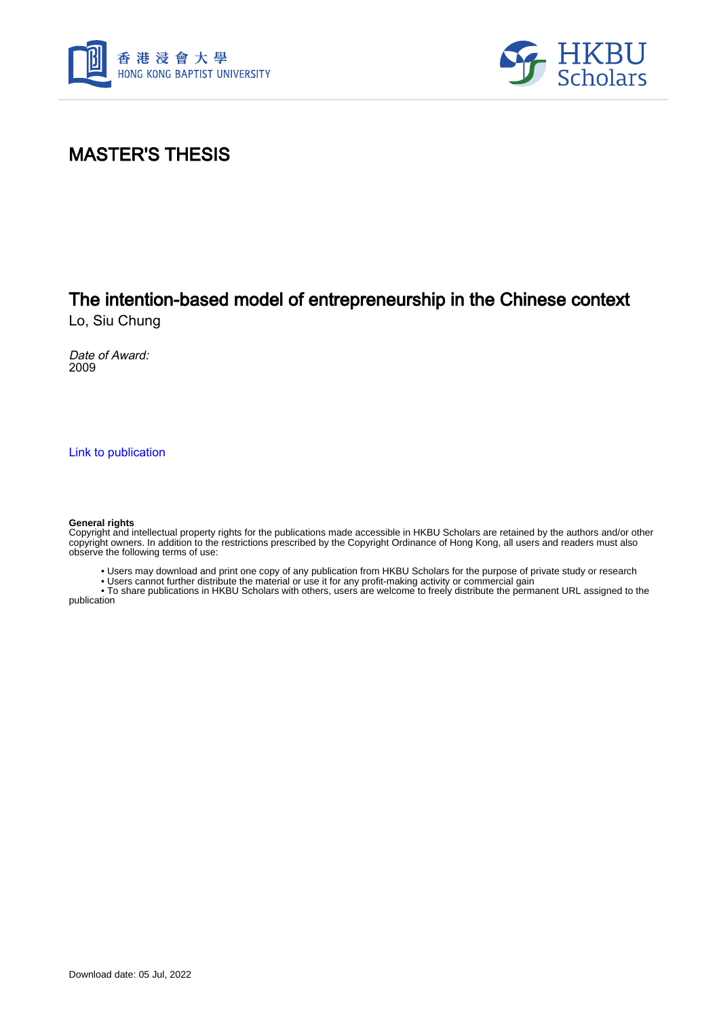



### MASTER'S THESIS

## The intention-based model of entrepreneurship in the Chinese context

Lo, Siu Chung

Date of Award: 2009

[Link to publication](https://scholars.hkbu.edu.hk/en/studentTheses/38a7a153-b112-44cc-be2c-c96969416515)

#### **General rights**

Copyright and intellectual property rights for the publications made accessible in HKBU Scholars are retained by the authors and/or other copyright owners. In addition to the restrictions prescribed by the Copyright Ordinance of Hong Kong, all users and readers must also observe the following terms of use:

• Users may download and print one copy of any publication from HKBU Scholars for the purpose of private study or research

• Users cannot further distribute the material or use it for any profit-making activity or commercial gain

 • To share publications in HKBU Scholars with others, users are welcome to freely distribute the permanent URL assigned to the publication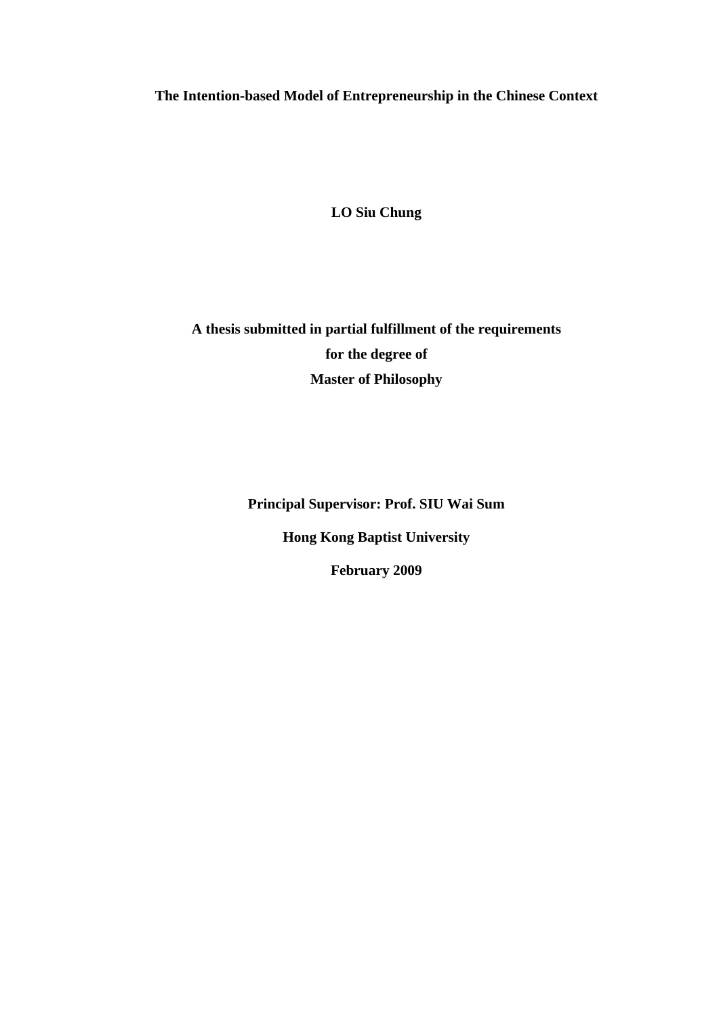**The Intention-based Model of Entrepreneurship in the Chinese Context** 

**LO Siu Chung** 

**A thesis submitted in partial fulfillment of the requirements for the degree of Master of Philosophy** 

**Principal Supervisor: Prof. SIU Wai Sum** 

**Hong Kong Baptist University** 

**February 2009**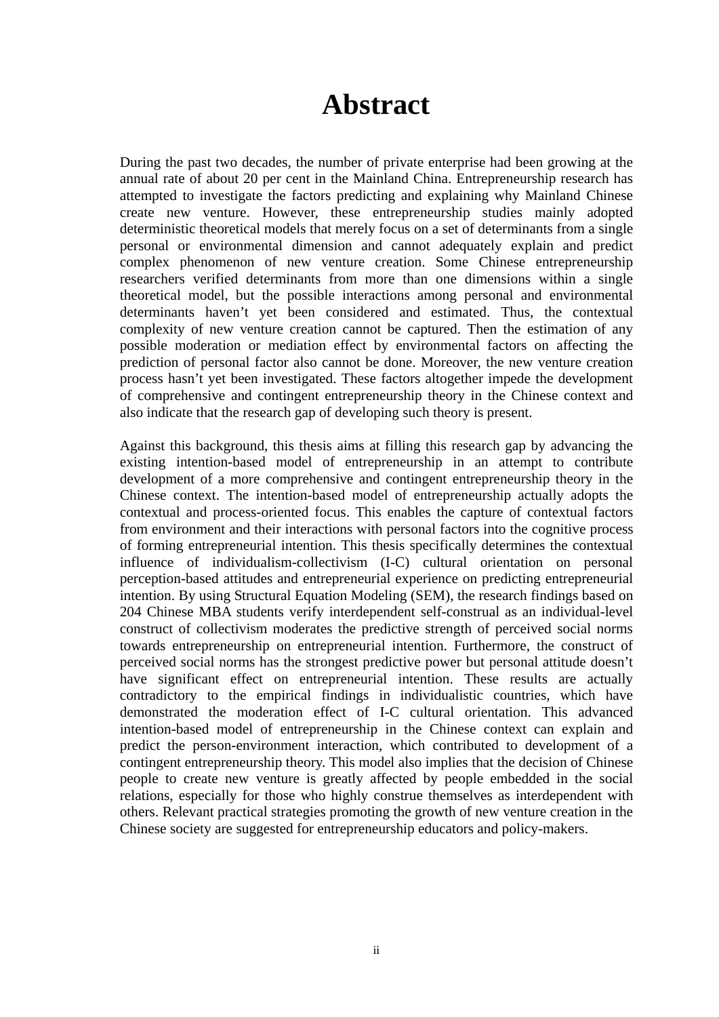## **Abstract**

During the past two decades, the number of private enterprise had been growing at the annual rate of about 20 per cent in the Mainland China. Entrepreneurship research has attempted to investigate the factors predicting and explaining why Mainland Chinese create new venture. However, these entrepreneurship studies mainly adopted deterministic theoretical models that merely focus on a set of determinants from a single personal or environmental dimension and cannot adequately explain and predict complex phenomenon of new venture creation. Some Chinese entrepreneurship researchers verified determinants from more than one dimensions within a single theoretical model, but the possible interactions among personal and environmental determinants haven't yet been considered and estimated. Thus, the contextual complexity of new venture creation cannot be captured. Then the estimation of any possible moderation or mediation effect by environmental factors on affecting the prediction of personal factor also cannot be done. Moreover, the new venture creation process hasn't yet been investigated. These factors altogether impede the development of comprehensive and contingent entrepreneurship theory in the Chinese context and also indicate that the research gap of developing such theory is present.

Against this background, this thesis aims at filling this research gap by advancing the existing intention-based model of entrepreneurship in an attempt to contribute development of a more comprehensive and contingent entrepreneurship theory in the Chinese context. The intention-based model of entrepreneurship actually adopts the contextual and process-oriented focus. This enables the capture of contextual factors from environment and their interactions with personal factors into the cognitive process of forming entrepreneurial intention. This thesis specifically determines the contextual influence of individualism-collectivism (I-C) cultural orientation on personal perception-based attitudes and entrepreneurial experience on predicting entrepreneurial intention. By using Structural Equation Modeling (SEM), the research findings based on 204 Chinese MBA students verify interdependent self-construal as an individual-level construct of collectivism moderates the predictive strength of perceived social norms towards entrepreneurship on entrepreneurial intention. Furthermore, the construct of perceived social norms has the strongest predictive power but personal attitude doesn't have significant effect on entrepreneurial intention. These results are actually contradictory to the empirical findings in individualistic countries, which have demonstrated the moderation effect of I-C cultural orientation. This advanced intention-based model of entrepreneurship in the Chinese context can explain and predict the person-environment interaction, which contributed to development of a contingent entrepreneurship theory. This model also implies that the decision of Chinese people to create new venture is greatly affected by people embedded in the social relations, especially for those who highly construe themselves as interdependent with others. Relevant practical strategies promoting the growth of new venture creation in the Chinese society are suggested for entrepreneurship educators and policy-makers.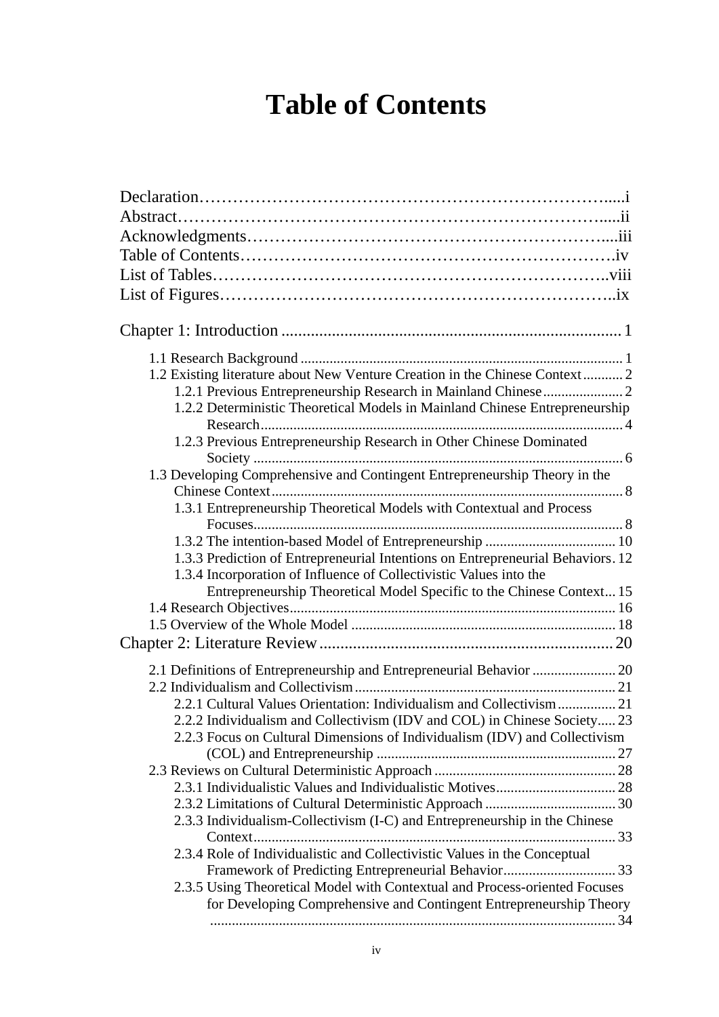# **Table of Contents**

| 1.2 Existing literature about New Venture Creation in the Chinese Context 2     |
|---------------------------------------------------------------------------------|
|                                                                                 |
| 1.2.2 Deterministic Theoretical Models in Mainland Chinese Entrepreneurship     |
|                                                                                 |
| 1.2.3 Previous Entrepreneurship Research in Other Chinese Dominated             |
|                                                                                 |
| 1.3 Developing Comprehensive and Contingent Entrepreneurship Theory in the      |
| 1.3.1 Entrepreneurship Theoretical Models with Contextual and Process           |
|                                                                                 |
|                                                                                 |
| 1.3.3 Prediction of Entrepreneurial Intentions on Entrepreneurial Behaviors. 12 |
| 1.3.4 Incorporation of Influence of Collectivistic Values into the              |
| Entrepreneurship Theoretical Model Specific to the Chinese Context 15           |
|                                                                                 |
|                                                                                 |
|                                                                                 |
| 2.1 Definitions of Entrepreneurship and Entrepreneurial Behavior  20            |
|                                                                                 |
| 2.2.1 Cultural Values Orientation: Individualism and Collectivism 21            |
| 2.2.2 Individualism and Collectivism (IDV and COL) in Chinese Society 23        |
| 2.2.3 Focus on Cultural Dimensions of Individualism (IDV) and Collectivism      |
|                                                                                 |
|                                                                                 |
|                                                                                 |
|                                                                                 |
| 2.3.3 Individualism-Collectivism (I-C) and Entrepreneurship in the Chinese      |
|                                                                                 |
| 2.3.4 Role of Individualistic and Collectivistic Values in the Conceptual       |
| 2.3.5 Using Theoretical Model with Contextual and Process-oriented Focuses      |
| for Developing Comprehensive and Contingent Entrepreneurship Theory             |
|                                                                                 |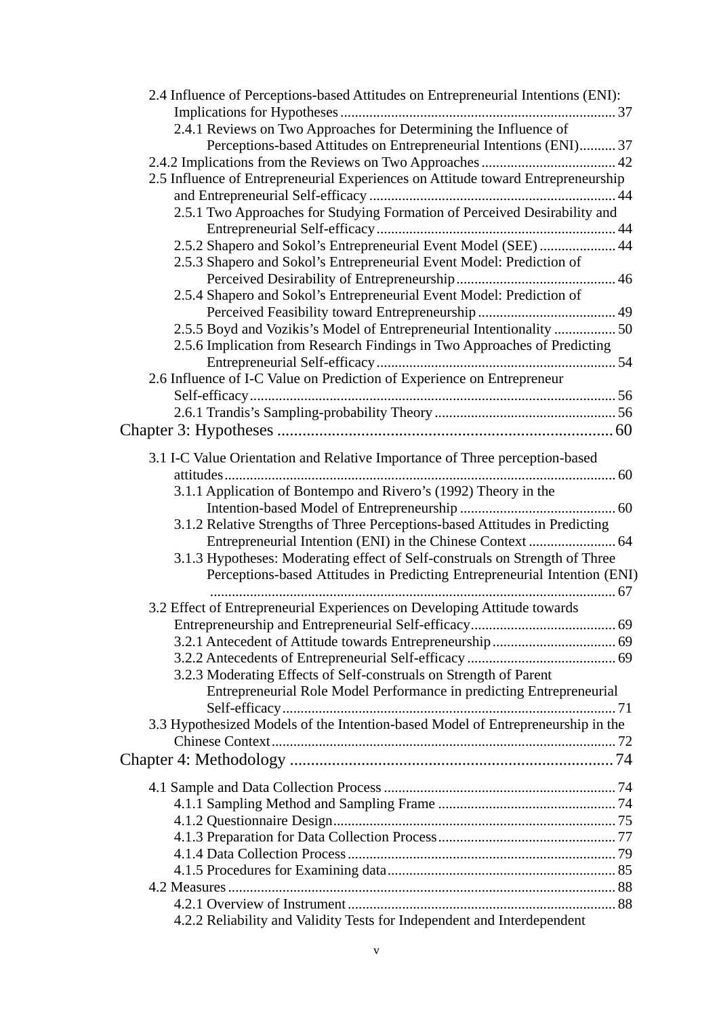| 2.4 Influence of Perceptions-based Attitudes on Entrepreneurial Intentions (ENI): |  |
|-----------------------------------------------------------------------------------|--|
|                                                                                   |  |
| 2.4.1 Reviews on Two Approaches for Determining the Influence of                  |  |
| Perceptions-based Attitudes on Entrepreneurial Intentions (ENI)37                 |  |
|                                                                                   |  |
| 2.5 Influence of Entrepreneurial Experiences on Attitude toward Entrepreneurship  |  |
| 2.5.1 Two Approaches for Studying Formation of Perceived Desirability and         |  |
| 2.5.2 Shapero and Sokol's Entrepreneurial Event Model (SEE)  44                   |  |
| 2.5.3 Shapero and Sokol's Entrepreneurial Event Model: Prediction of              |  |
| 2.5.4 Shapero and Sokol's Entrepreneurial Event Model: Prediction of              |  |
|                                                                                   |  |
| 2.5.5 Boyd and Vozikis's Model of Entrepreneurial Intentionality  50              |  |
| 2.5.6 Implication from Research Findings in Two Approaches of Predicting          |  |
|                                                                                   |  |
| 2.6 Influence of I-C Value on Prediction of Experience on Entrepreneur            |  |
|                                                                                   |  |
|                                                                                   |  |
|                                                                                   |  |
|                                                                                   |  |
| 3.1 I-C Value Orientation and Relative Importance of Three perception-based       |  |
| 3.1.1 Application of Bontempo and Rivero's (1992) Theory in the                   |  |
|                                                                                   |  |
| 3.1.2 Relative Strengths of Three Perceptions-based Attitudes in Predicting       |  |
|                                                                                   |  |
| 3.1.3 Hypotheses: Moderating effect of Self-construals on Strength of Three       |  |
| Perceptions-based Attitudes in Predicting Entrepreneurial Intention (ENI)         |  |
|                                                                                   |  |
| 3.2 Effect of Entrepreneurial Experiences on Developing Attitude towards          |  |
|                                                                                   |  |
|                                                                                   |  |
|                                                                                   |  |
| 3.2.3 Moderating Effects of Self-construals on Strength of Parent                 |  |
|                                                                                   |  |
| Entrepreneurial Role Model Performance in predicting Entrepreneurial              |  |
|                                                                                   |  |
| 3.3 Hypothesized Models of the Intention-based Model of Entrepreneurship in the   |  |
|                                                                                   |  |
|                                                                                   |  |
|                                                                                   |  |
|                                                                                   |  |
|                                                                                   |  |
|                                                                                   |  |
|                                                                                   |  |
|                                                                                   |  |
|                                                                                   |  |
|                                                                                   |  |
| 4.2.2 Reliability and Validity Tests for Independent and Interdependent           |  |